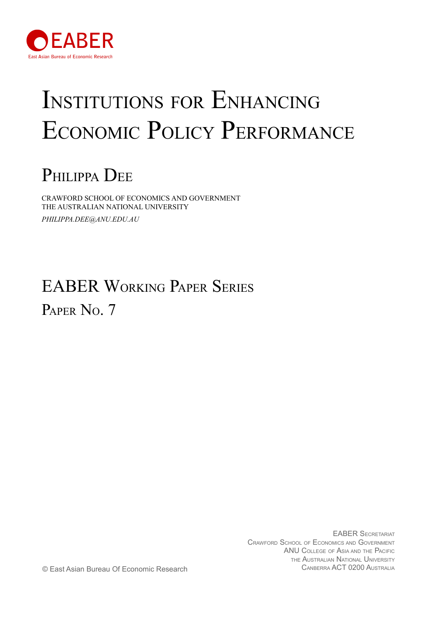

# INSTITUTIONS FOR ENHANCING ECONOMIC POLICY PERFORMANCE

## PHILIPPA DEE

CRAWFORD SCHOOL OF ECONOMICS AND GOVERNMENT THE AUSTRALIAN NATIONAL UNIVERSITY *PHILIPPA.DEE@ANU.EDU.AU*

## EABER WORKING PAPER SERIES PAPER No. 7

EABER SECRETARIAT CRAWFORD SCHOOL OF ECONOMICS AND GOVERNMENT ANU COLLEGE OF ASIA AND THE PACIFIC THE AUSTRALIAN NATIONAL UNIVERSITY © East Asian Bureau Of Economic Research CANBERRA ACT 0200 AUSTRALIA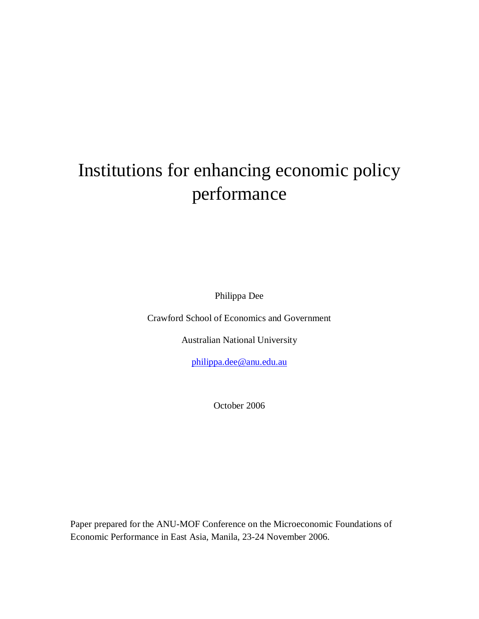## Institutions for enhancing economic policy performance

Philippa Dee

Crawford School of Economics and Government

Australian National University

[philippa.dee@anu.edu.au](mailto:philippa.dee@anu.edu.au)

October 2006

Paper prepared for the ANU-MOF Conference on the Microeconomic Foundations of Economic Performance in East Asia, Manila, 23-24 November 2006.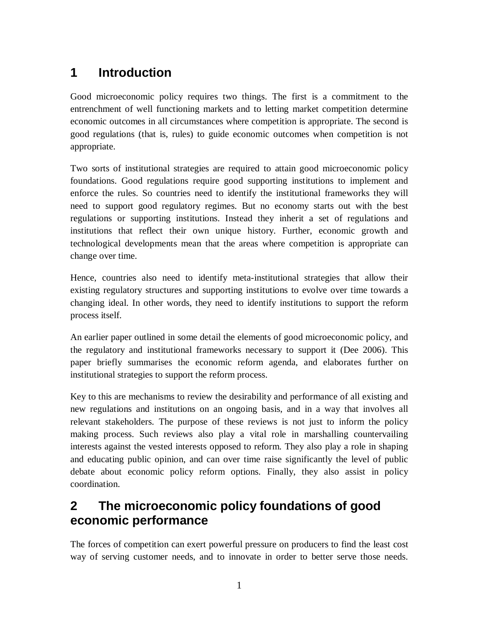## **1 Introduction**

Good microeconomic policy requires two things. The first is a commitment to the entrenchment of well functioning markets and to letting market competition determine economic outcomes in all circumstances where competition is appropriate. The second is good regulations (that is, rules) to guide economic outcomes when competition is not appropriate.

Two sorts of institutional strategies are required to attain good microeconomic policy foundations. Good regulations require good supporting institutions to implement and enforce the rules. So countries need to identify the institutional frameworks they will need to support good regulatory regimes. But no economy starts out with the best regulations or supporting institutions. Instead they inherit a set of regulations and institutions that reflect their own unique history. Further, economic growth and technological developments mean that the areas where competition is appropriate can change over time.

Hence, countries also need to identify meta-institutional strategies that allow their existing regulatory structures and supporting institutions to evolve over time towards a changing ideal. In other words, they need to identify institutions to support the reform process itself.

An earlier paper outlined in some detail the elements of good microeconomic policy, and the regulatory and institutional frameworks necessary to support it (Dee 2006). This paper briefly summarises the economic reform agenda, and elaborates further on institutional strategies to support the reform process.

Key to this are mechanisms to review the desirability and performance of all existing and new regulations and institutions on an ongoing basis, and in a way that involves all relevant stakeholders. The purpose of these reviews is not just to inform the policy making process. Such reviews also play a vital role in marshalling countervailing interests against the vested interests opposed to reform. They also play a role in shaping and educating public opinion, and can over time raise significantly the level of public debate about economic policy reform options. Finally, they also assist in policy coordination.

## **2 The microeconomic policy foundations of good economic performance**

The forces of competition can exert powerful pressure on producers to find the least cost way of serving customer needs, and to innovate in order to better serve those needs.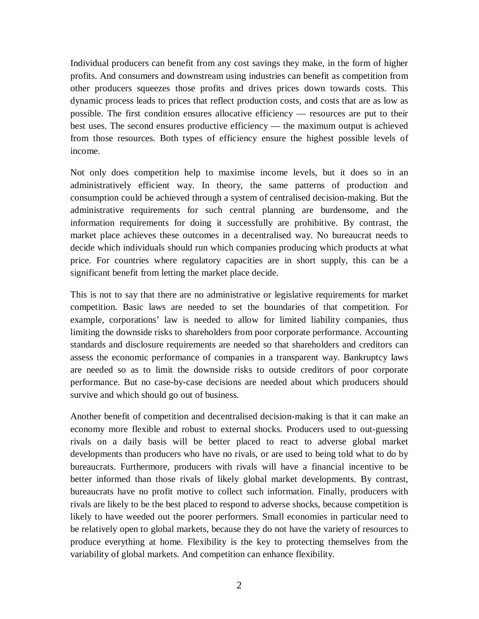Individual producers can benefit from any cost savings they make, in the form of higher profits. And consumers and downstream using industries can benefit as competition from other producers squeezes those profits and drives prices down towards costs. This dynamic process leads to prices that reflect production costs, and costs that are as low as possible. The first condition ensures allocative efficiency — resources are put to their best uses. The second ensures productive efficiency — the maximum output is achieved from those resources. Both types of efficiency ensure the highest possible levels of income.

Not only does competition help to maximise income levels, but it does so in an administratively efficient way. In theory, the same patterns of production and consumption could be achieved through a system of centralised decision-making. But the administrative requirements for such central planning are burdensome, and the information requirements for doing it successfully are prohibitive. By contrast, the market place achieves these outcomes in a decentralised way. No bureaucrat needs to decide which individuals should run which companies producing which products at what price. For countries where regulatory capacities are in short supply, this can be a significant benefit from letting the market place decide.

This is not to say that there are no administrative or legislative requirements for market competition. Basic laws are needed to set the boundaries of that competition. For example, corporations' law is needed to allow for limited liability companies, thus limiting the downside risks to shareholders from poor corporate performance. Accounting standards and disclosure requirements are needed so that shareholders and creditors can assess the economic performance of companies in a transparent way. Bankruptcy laws are needed so as to limit the downside risks to outside creditors of poor corporate performance. But no case-by-case decisions are needed about which producers should survive and which should go out of business.

Another benefit of competition and decentralised decision-making is that it can make an economy more flexible and robust to external shocks. Producers used to out-guessing rivals on a daily basis will be better placed to react to adverse global market developments than producers who have no rivals, or are used to being told what to do by bureaucrats. Furthermore, producers with rivals will have a financial incentive to be better informed than those rivals of likely global market developments. By contrast, bureaucrats have no profit motive to collect such information. Finally, producers with rivals are likely to be the best placed to respond to adverse shocks, because competition is likely to have weeded out the poorer performers. Small economies in particular need to be relatively open to global markets, because they do not have the variety of resources to produce everything at home. Flexibility is the key to protecting themselves from the variability of global markets. And competition can enhance flexibility.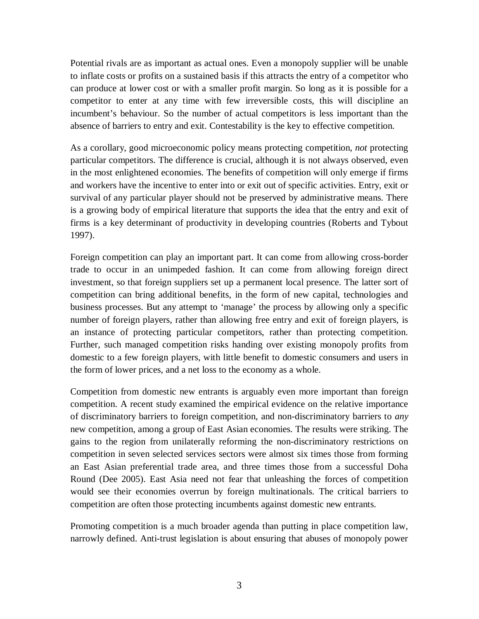Potential rivals are as important as actual ones. Even a monopoly supplier will be unable to inflate costs or profits on a sustained basis if this attracts the entry of a competitor who can produce at lower cost or with a smaller profit margin. So long as it is possible for a competitor to enter at any time with few irreversible costs, this will discipline an incumbent's behaviour. So the number of actual competitors is less important than the absence of barriers to entry and exit. Contestability is the key to effective competition.

As a corollary, good microeconomic policy means protecting competition, *not* protecting particular competitors. The difference is crucial, although it is not always observed, even in the most enlightened economies. The benefits of competition will only emerge if firms and workers have the incentive to enter into or exit out of specific activities. Entry, exit or survival of any particular player should not be preserved by administrative means. There is a growing body of empirical literature that supports the idea that the entry and exit of firms is a key determinant of productivity in developing countries (Roberts and Tybout 1997).

Foreign competition can play an important part. It can come from allowing cross-border trade to occur in an unimpeded fashion. It can come from allowing foreign direct investment, so that foreign suppliers set up a permanent local presence. The latter sort of competition can bring additional benefits, in the form of new capital, technologies and business processes. But any attempt to 'manage' the process by allowing only a specific number of foreign players, rather than allowing free entry and exit of foreign players, is an instance of protecting particular competitors, rather than protecting competition. Further, such managed competition risks handing over existing monopoly profits from domestic to a few foreign players, with little benefit to domestic consumers and users in the form of lower prices, and a net loss to the economy as a whole.

Competition from domestic new entrants is arguably even more important than foreign competition. A recent study examined the empirical evidence on the relative importance of discriminatory barriers to foreign competition, and non-discriminatory barriers to *any* new competition, among a group of East Asian economies. The results were striking. The gains to the region from unilaterally reforming the non-discriminatory restrictions on competition in seven selected services sectors were almost six times those from forming an East Asian preferential trade area, and three times those from a successful Doha Round (Dee 2005). East Asia need not fear that unleashing the forces of competition would see their economies overrun by foreign multinationals. The critical barriers to competition are often those protecting incumbents against domestic new entrants.

Promoting competition is a much broader agenda than putting in place competition law, narrowly defined. Anti-trust legislation is about ensuring that abuses of monopoly power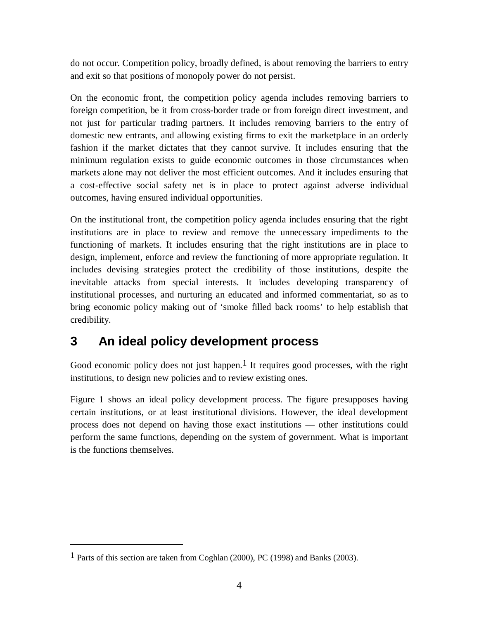do not occur. Competition policy, broadly defined, is about removing the barriers to entry and exit so that positions of monopoly power do not persist.

On the economic front, the competition policy agenda includes removing barriers to foreign competition, be it from cross-border trade or from foreign direct investment, and not just for particular trading partners. It includes removing barriers to the entry of domestic new entrants, and allowing existing firms to exit the marketplace in an orderly fashion if the market dictates that they cannot survive. It includes ensuring that the minimum regulation exists to guide economic outcomes in those circumstances when markets alone may not deliver the most efficient outcomes. And it includes ensuring that a cost-effective social safety net is in place to protect against adverse individual outcomes, having ensured individual opportunities.

On the institutional front, the competition policy agenda includes ensuring that the right institutions are in place to review and remove the unnecessary impediments to the functioning of markets. It includes ensuring that the right institutions are in place to design, implement, enforce and review the functioning of more appropriate regulation. It includes devising strategies protect the credibility of those institutions, despite the inevitable attacks from special interests. It includes developing transparency of institutional processes, and nurturing an educated and informed commentariat, so as to bring economic policy making out of 'smoke filled back rooms' to help establish that credibility.

### **3 An ideal policy development process**

Good economic policy does not just happen.<sup>1</sup> It requires good processes, with the right institutions, to design new policies and to review existing ones.

Figure 1 shows an ideal policy development process. The figure presupposes having certain institutions, or at least institutional divisions. However, the ideal development process does not depend on having those exact institutions — other institutions could perform the same functions, depending on the system of government. What is important is the functions themselves.

 $\overline{a}$ 

<sup>1</sup> Parts of this section are taken from Coghlan (2000), PC (1998) and Banks (2003).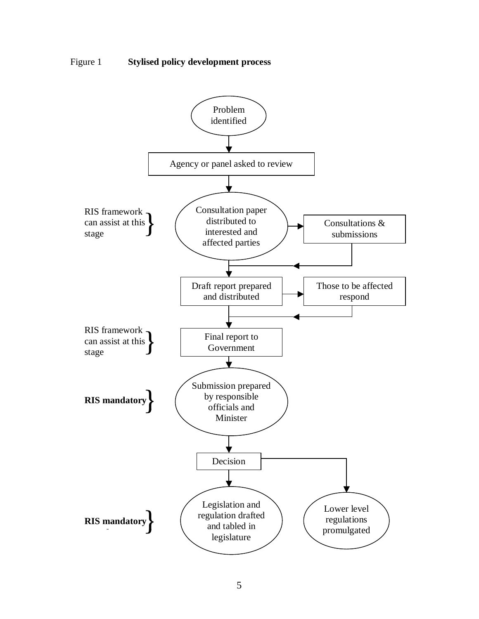#### Figure 1 **Stylised policy development process**

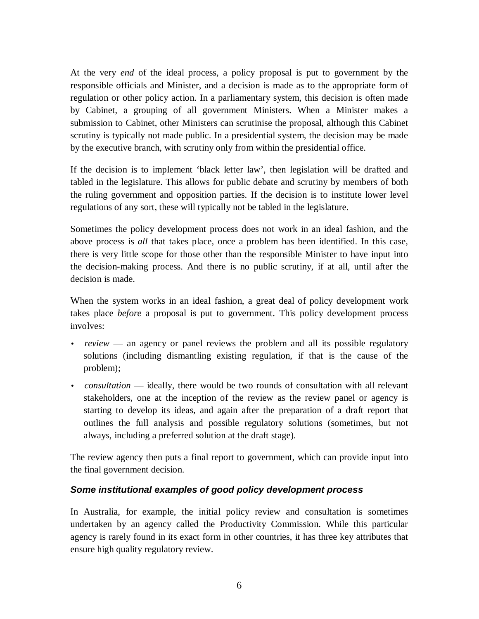At the very *end* of the ideal process, a policy proposal is put to government by the responsible officials and Minister, and a decision is made as to the appropriate form of regulation or other policy action. In a parliamentary system, this decision is often made by Cabinet, a grouping of all government Ministers. When a Minister makes a submission to Cabinet, other Ministers can scrutinise the proposal, although this Cabinet scrutiny is typically not made public. In a presidential system, the decision may be made by the executive branch, with scrutiny only from within the presidential office.

If the decision is to implement 'black letter law', then legislation will be drafted and tabled in the legislature. This allows for public debate and scrutiny by members of both the ruling government and opposition parties. If the decision is to institute lower level regulations of any sort, these will typically not be tabled in the legislature.

Sometimes the policy development process does not work in an ideal fashion, and the above process is *all* that takes place, once a problem has been identified. In this case, there is very little scope for those other than the responsible Minister to have input into the decision-making process. And there is no public scrutiny, if at all, until after the decision is made.

When the system works in an ideal fashion, a great deal of policy development work takes place *before* a proposal is put to government. This policy development process involves:

- *review* an agency or panel reviews the problem and all its possible regulatory solutions (including dismantling existing regulation, if that is the cause of the problem);
- *consultation* ideally, there would be two rounds of consultation with all relevant stakeholders, one at the inception of the review as the review panel or agency is starting to develop its ideas, and again after the preparation of a draft report that outlines the full analysis and possible regulatory solutions (sometimes, but not always, including a preferred solution at the draft stage).

The review agency then puts a final report to government, which can provide input into the final government decision.

#### *Some institutional examples of good policy development process*

In Australia, for example, the initial policy review and consultation is sometimes undertaken by an agency called the Productivity Commission. While this particular agency is rarely found in its exact form in other countries, it has three key attributes that ensure high quality regulatory review.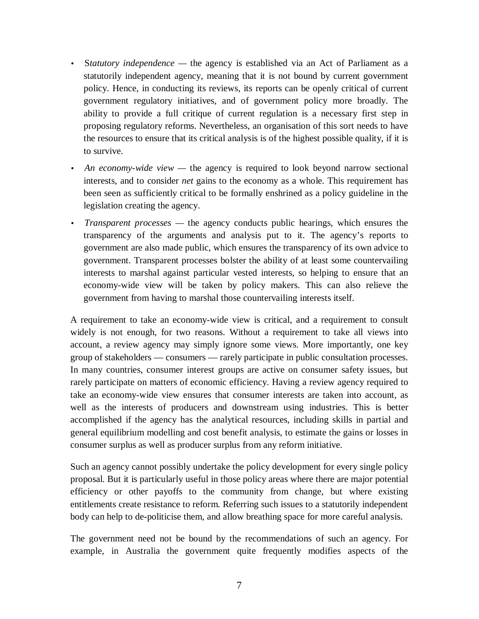- S*tatutory independence* the agency is established via an Act of Parliament as a statutorily independent agency, meaning that it is not bound by current government policy. Hence, in conducting its reviews, its reports can be openly critical of current government regulatory initiatives, and of government policy more broadly. The ability to provide a full critique of current regulation is a necessary first step in proposing regulatory reforms. Nevertheless, an organisation of this sort needs to have the resources to ensure that its critical analysis is of the highest possible quality, if it is to survive.
- *An economy-wide view* the agency is required to look beyond narrow sectional interests, and to consider *net* gains to the economy as a whole. This requirement has been seen as sufficiently critical to be formally enshrined as a policy guideline in the legislation creating the agency.
- *Transparent processes* the agency conducts public hearings, which ensures the transparency of the arguments and analysis put to it. The agency's reports to government are also made public, which ensures the transparency of its own advice to government. Transparent processes bolster the ability of at least some countervailing interests to marshal against particular vested interests, so helping to ensure that an economy-wide view will be taken by policy makers. This can also relieve the government from having to marshal those countervailing interests itself.

A requirement to take an economy-wide view is critical, and a requirement to consult widely is not enough, for two reasons. Without a requirement to take all views into account, a review agency may simply ignore some views. More importantly, one key group of stakeholders — consumers — rarely participate in public consultation processes. In many countries, consumer interest groups are active on consumer safety issues, but rarely participate on matters of economic efficiency. Having a review agency required to take an economy-wide view ensures that consumer interests are taken into account, as well as the interests of producers and downstream using industries. This is better accomplished if the agency has the analytical resources, including skills in partial and general equilibrium modelling and cost benefit analysis, to estimate the gains or losses in consumer surplus as well as producer surplus from any reform initiative.

Such an agency cannot possibly undertake the policy development for every single policy proposal. But it is particularly useful in those policy areas where there are major potential efficiency or other payoffs to the community from change, but where existing entitlements create resistance to reform. Referring such issues to a statutorily independent body can help to de-politicise them, and allow breathing space for more careful analysis.

The government need not be bound by the recommendations of such an agency. For example, in Australia the government quite frequently modifies aspects of the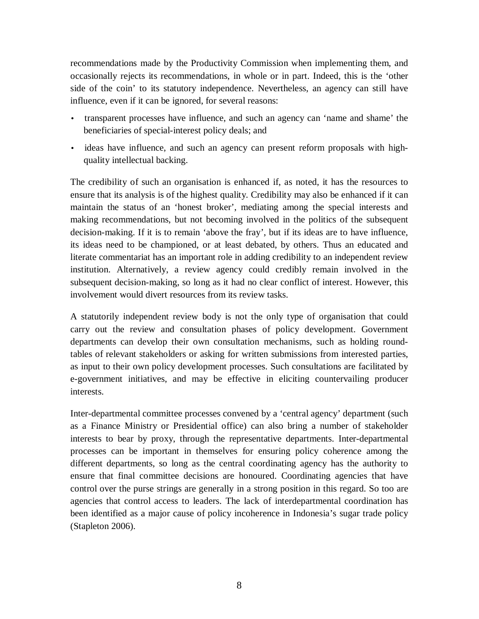recommendations made by the Productivity Commission when implementing them, and occasionally rejects its recommendations, in whole or in part. Indeed, this is the 'other side of the coin' to its statutory independence. Nevertheless, an agency can still have influence, even if it can be ignored, for several reasons:

- transparent processes have influence, and such an agency can 'name and shame' the beneficiaries of special-interest policy deals; and
- ideas have influence, and such an agency can present reform proposals with highquality intellectual backing.

The credibility of such an organisation is enhanced if, as noted, it has the resources to ensure that its analysis is of the highest quality. Credibility may also be enhanced if it can maintain the status of an 'honest broker', mediating among the special interests and making recommendations, but not becoming involved in the politics of the subsequent decision-making. If it is to remain 'above the fray', but if its ideas are to have influence, its ideas need to be championed, or at least debated, by others. Thus an educated and literate commentariat has an important role in adding credibility to an independent review institution. Alternatively, a review agency could credibly remain involved in the subsequent decision-making, so long as it had no clear conflict of interest. However, this involvement would divert resources from its review tasks.

A statutorily independent review body is not the only type of organisation that could carry out the review and consultation phases of policy development. Government departments can develop their own consultation mechanisms, such as holding roundtables of relevant stakeholders or asking for written submissions from interested parties, as input to their own policy development processes. Such consultations are facilitated by e-government initiatives, and may be effective in eliciting countervailing producer interests.

Inter-departmental committee processes convened by a 'central agency' department (such as a Finance Ministry or Presidential office) can also bring a number of stakeholder interests to bear by proxy, through the representative departments. Inter-departmental processes can be important in themselves for ensuring policy coherence among the different departments, so long as the central coordinating agency has the authority to ensure that final committee decisions are honoured. Coordinating agencies that have control over the purse strings are generally in a strong position in this regard. So too are agencies that control access to leaders. The lack of interdepartmental coordination has been identified as a major cause of policy incoherence in Indonesia's sugar trade policy (Stapleton 2006).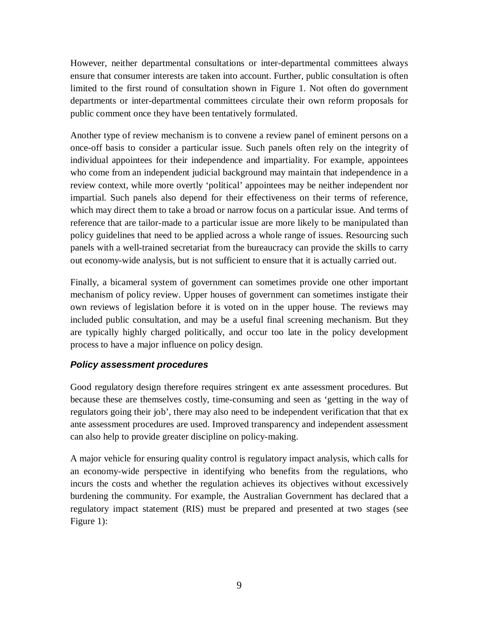However, neither departmental consultations or inter-departmental committees always ensure that consumer interests are taken into account. Further, public consultation is often limited to the first round of consultation shown in Figure 1. Not often do government departments or inter-departmental committees circulate their own reform proposals for public comment once they have been tentatively formulated.

Another type of review mechanism is to convene a review panel of eminent persons on a once-off basis to consider a particular issue. Such panels often rely on the integrity of individual appointees for their independence and impartiality. For example, appointees who come from an independent judicial background may maintain that independence in a review context, while more overtly 'political' appointees may be neither independent nor impartial. Such panels also depend for their effectiveness on their terms of reference, which may direct them to take a broad or narrow focus on a particular issue. And terms of reference that are tailor-made to a particular issue are more likely to be manipulated than policy guidelines that need to be applied across a whole range of issues. Resourcing such panels with a well-trained secretariat from the bureaucracy can provide the skills to carry out economy-wide analysis, but is not sufficient to ensure that it is actually carried out.

Finally, a bicameral system of government can sometimes provide one other important mechanism of policy review. Upper houses of government can sometimes instigate their own reviews of legislation before it is voted on in the upper house. The reviews may included public consultation, and may be a useful final screening mechanism. But they are typically highly charged politically, and occur too late in the policy development process to have a major influence on policy design.

#### *Policy assessment procedures*

Good regulatory design therefore requires stringent ex ante assessment procedures. But because these are themselves costly, time-consuming and seen as 'getting in the way of regulators going their job', there may also need to be independent verification that that ex ante assessment procedures are used. Improved transparency and independent assessment can also help to provide greater discipline on policy-making.

A major vehicle for ensuring quality control is regulatory impact analysis, which calls for an economy-wide perspective in identifying who benefits from the regulations, who incurs the costs and whether the regulation achieves its objectives without excessively burdening the community. For example, the Australian Government has declared that a regulatory impact statement (RIS) must be prepared and presented at two stages (see Figure 1):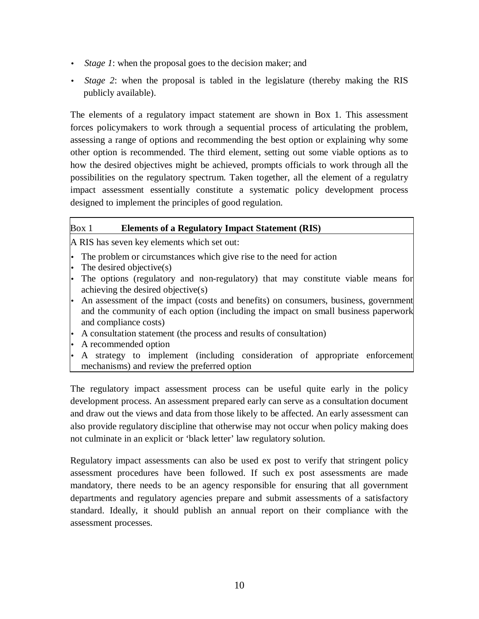- *Stage 1*: when the proposal goes to the decision maker; and
- *Stage 2*: when the proposal is tabled in the legislature (thereby making the RIS publicly available).

The elements of a regulatory impact statement are shown in Box 1. This assessment forces policymakers to work through a sequential process of articulating the problem, assessing a range of options and recommending the best option or explaining why some other option is recommended. The third element, setting out some viable options as to how the desired objectives might be achieved, prompts officials to work through all the possibilities on the regulatory spectrum. Taken together, all the element of a regulatry impact assessment essentially constitute a systematic policy development process designed to implement the principles of good regulation.

#### Box 1 **Elements of a Regulatory Impact Statement (RIS)**

A RIS has seven key elements which set out:

- The problem or circumstances which give rise to the need for action
- The desired objective(s)
- The options (regulatory and non-regulatory) that may constitute viable means for achieving the desired objective(s)
- An assessment of the impact (costs and benefits) on consumers, business, government and the community of each option (including the impact on small business paperwork and compliance costs)
- A consultation statement (the process and results of consultation)
- A recommended option
- A strategy to implement (including consideration of appropriate enforcement mechanisms) and review the preferred option

The regulatory impact assessment process can be useful quite early in the policy development process. An assessment prepared early can serve as a consultation document and draw out the views and data from those likely to be affected. An early assessment can also provide regulatory discipline that otherwise may not occur when policy making does not culminate in an explicit or 'black letter' law regulatory solution.

Regulatory impact assessments can also be used ex post to verify that stringent policy assessment procedures have been followed. If such ex post assessments are made mandatory, there needs to be an agency responsible for ensuring that all government departments and regulatory agencies prepare and submit assessments of a satisfactory standard. Ideally, it should publish an annual report on their compliance with the assessment processes.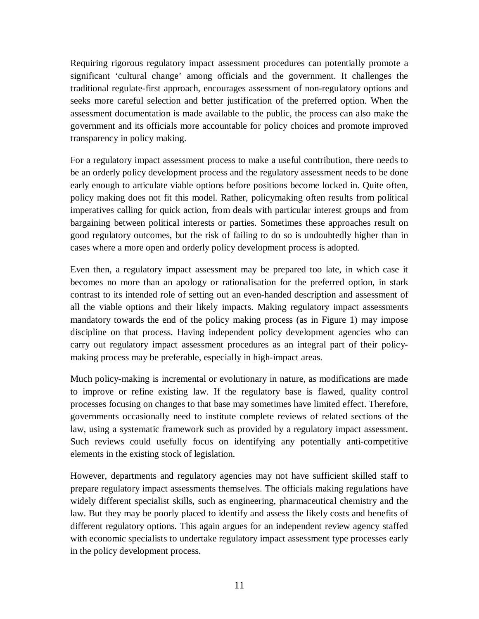Requiring rigorous regulatory impact assessment procedures can potentially promote a significant 'cultural change' among officials and the government. It challenges the traditional regulate-first approach, encourages assessment of non-regulatory options and seeks more careful selection and better justification of the preferred option. When the assessment documentation is made available to the public, the process can also make the government and its officials more accountable for policy choices and promote improved transparency in policy making.

For a regulatory impact assessment process to make a useful contribution, there needs to be an orderly policy development process and the regulatory assessment needs to be done early enough to articulate viable options before positions become locked in. Quite often, policy making does not fit this model. Rather, policymaking often results from political imperatives calling for quick action, from deals with particular interest groups and from bargaining between political interests or parties. Sometimes these approaches result on good regulatory outcomes, but the risk of failing to do so is undoubtedly higher than in cases where a more open and orderly policy development process is adopted.

Even then, a regulatory impact assessment may be prepared too late, in which case it becomes no more than an apology or rationalisation for the preferred option, in stark contrast to its intended role of setting out an even-handed description and assessment of all the viable options and their likely impacts. Making regulatory impact assessments mandatory towards the end of the policy making process (as in Figure 1) may impose discipline on that process. Having independent policy development agencies who can carry out regulatory impact assessment procedures as an integral part of their policymaking process may be preferable, especially in high-impact areas.

Much policy-making is incremental or evolutionary in nature, as modifications are made to improve or refine existing law. If the regulatory base is flawed, quality control processes focusing on changes to that base may sometimes have limited effect. Therefore, governments occasionally need to institute complete reviews of related sections of the law, using a systematic framework such as provided by a regulatory impact assessment. Such reviews could usefully focus on identifying any potentially anti-competitive elements in the existing stock of legislation.

However, departments and regulatory agencies may not have sufficient skilled staff to prepare regulatory impact assessments themselves. The officials making regulations have widely different specialist skills, such as engineering, pharmaceutical chemistry and the law. But they may be poorly placed to identify and assess the likely costs and benefits of different regulatory options. This again argues for an independent review agency staffed with economic specialists to undertake regulatory impact assessment type processes early in the policy development process.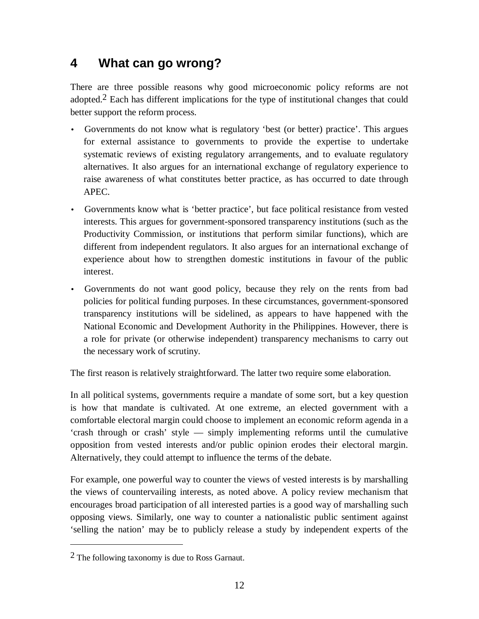### **4 What can go wrong?**

There are three possible reasons why good microeconomic policy reforms are not adopted.<sup>2</sup> Each has different implications for the type of institutional changes that could better support the reform process.

- Governments do not know what is regulatory 'best (or better) practice'. This argues for external assistance to governments to provide the expertise to undertake systematic reviews of existing regulatory arrangements, and to evaluate regulatory alternatives. It also argues for an international exchange of regulatory experience to raise awareness of what constitutes better practice, as has occurred to date through APEC.
- Governments know what is 'better practice', but face political resistance from vested interests. This argues for government-sponsored transparency institutions (such as the Productivity Commission, or institutions that perform similar functions), which are different from independent regulators. It also argues for an international exchange of experience about how to strengthen domestic institutions in favour of the public interest.
- Governments do not want good policy, because they rely on the rents from bad policies for political funding purposes. In these circumstances, government-sponsored transparency institutions will be sidelined, as appears to have happened with the National Economic and Development Authority in the Philippines. However, there is a role for private (or otherwise independent) transparency mechanisms to carry out the necessary work of scrutiny.

The first reason is relatively straightforward. The latter two require some elaboration.

In all political systems, governments require a mandate of some sort, but a key question is how that mandate is cultivated. At one extreme, an elected government with a comfortable electoral margin could choose to implement an economic reform agenda in a 'crash through or crash' style — simply implementing reforms until the cumulative opposition from vested interests and/or public opinion erodes their electoral margin. Alternatively, they could attempt to influence the terms of the debate.

For example, one powerful way to counter the views of vested interests is by marshalling the views of countervailing interests, as noted above. A policy review mechanism that encourages broad participation of all interested parties is a good way of marshalling such opposing views. Similarly, one way to counter a nationalistic public sentiment against 'selling the nation' may be to publicly release a study by independent experts of the

 $\overline{a}$ 

 $2$  The following taxonomy is due to Ross Garnaut.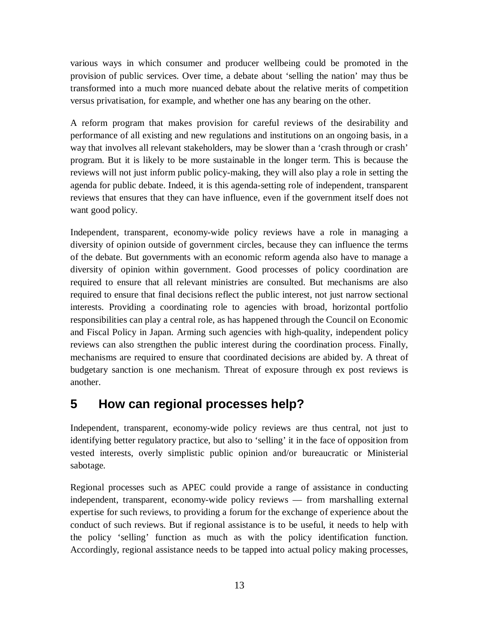various ways in which consumer and producer wellbeing could be promoted in the provision of public services. Over time, a debate about 'selling the nation' may thus be transformed into a much more nuanced debate about the relative merits of competition versus privatisation, for example, and whether one has any bearing on the other.

A reform program that makes provision for careful reviews of the desirability and performance of all existing and new regulations and institutions on an ongoing basis, in a way that involves all relevant stakeholders, may be slower than a 'crash through or crash' program. But it is likely to be more sustainable in the longer term. This is because the reviews will not just inform public policy-making, they will also play a role in setting the agenda for public debate. Indeed, it is this agenda-setting role of independent, transparent reviews that ensures that they can have influence, even if the government itself does not want good policy.

Independent, transparent, economy-wide policy reviews have a role in managing a diversity of opinion outside of government circles, because they can influence the terms of the debate. But governments with an economic reform agenda also have to manage a diversity of opinion within government. Good processes of policy coordination are required to ensure that all relevant ministries are consulted. But mechanisms are also required to ensure that final decisions reflect the public interest, not just narrow sectional interests. Providing a coordinating role to agencies with broad, horizontal portfolio responsibilities can play a central role, as has happened through the Council on Economic and Fiscal Policy in Japan. Arming such agencies with high-quality, independent policy reviews can also strengthen the public interest during the coordination process. Finally, mechanisms are required to ensure that coordinated decisions are abided by. A threat of budgetary sanction is one mechanism. Threat of exposure through ex post reviews is another.

### **5 How can regional processes help?**

Independent, transparent, economy-wide policy reviews are thus central, not just to identifying better regulatory practice, but also to 'selling' it in the face of opposition from vested interests, overly simplistic public opinion and/or bureaucratic or Ministerial sabotage.

Regional processes such as APEC could provide a range of assistance in conducting independent, transparent, economy-wide policy reviews — from marshalling external expertise for such reviews, to providing a forum for the exchange of experience about the conduct of such reviews. But if regional assistance is to be useful, it needs to help with the policy 'selling' function as much as with the policy identification function. Accordingly, regional assistance needs to be tapped into actual policy making processes,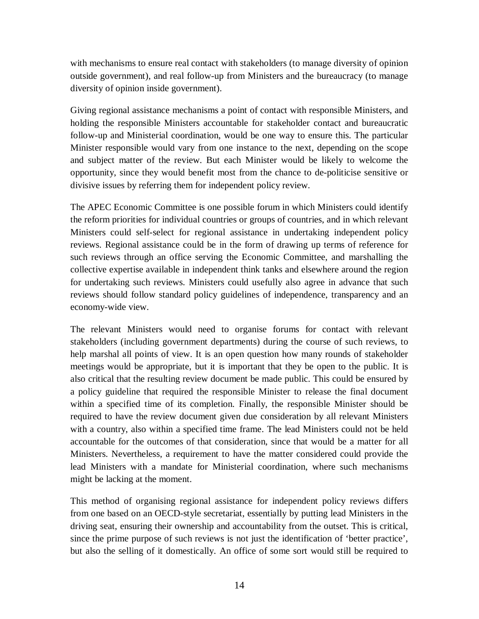with mechanisms to ensure real contact with stakeholders (to manage diversity of opinion outside government), and real follow-up from Ministers and the bureaucracy (to manage diversity of opinion inside government).

Giving regional assistance mechanisms a point of contact with responsible Ministers, and holding the responsible Ministers accountable for stakeholder contact and bureaucratic follow-up and Ministerial coordination, would be one way to ensure this. The particular Minister responsible would vary from one instance to the next, depending on the scope and subject matter of the review. But each Minister would be likely to welcome the opportunity, since they would benefit most from the chance to de-politicise sensitive or divisive issues by referring them for independent policy review.

The APEC Economic Committee is one possible forum in which Ministers could identify the reform priorities for individual countries or groups of countries, and in which relevant Ministers could self-select for regional assistance in undertaking independent policy reviews. Regional assistance could be in the form of drawing up terms of reference for such reviews through an office serving the Economic Committee, and marshalling the collective expertise available in independent think tanks and elsewhere around the region for undertaking such reviews. Ministers could usefully also agree in advance that such reviews should follow standard policy guidelines of independence, transparency and an economy-wide view.

The relevant Ministers would need to organise forums for contact with relevant stakeholders (including government departments) during the course of such reviews, to help marshal all points of view. It is an open question how many rounds of stakeholder meetings would be appropriate, but it is important that they be open to the public. It is also critical that the resulting review document be made public. This could be ensured by a policy guideline that required the responsible Minister to release the final document within a specified time of its completion. Finally, the responsible Minister should be required to have the review document given due consideration by all relevant Ministers with a country, also within a specified time frame. The lead Ministers could not be held accountable for the outcomes of that consideration, since that would be a matter for all Ministers. Nevertheless, a requirement to have the matter considered could provide the lead Ministers with a mandate for Ministerial coordination, where such mechanisms might be lacking at the moment.

This method of organising regional assistance for independent policy reviews differs from one based on an OECD-style secretariat, essentially by putting lead Ministers in the driving seat, ensuring their ownership and accountability from the outset. This is critical, since the prime purpose of such reviews is not just the identification of 'better practice', but also the selling of it domestically. An office of some sort would still be required to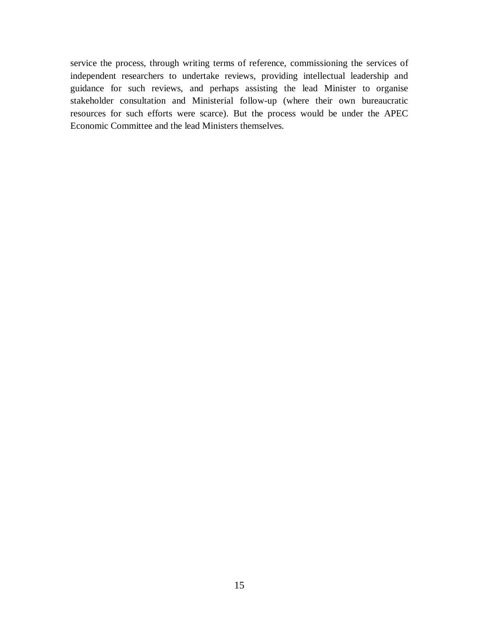service the process, through writing terms of reference, commissioning the services of independent researchers to undertake reviews, providing intellectual leadership and guidance for such reviews, and perhaps assisting the lead Minister to organise stakeholder consultation and Ministerial follow-up (where their own bureaucratic resources for such efforts were scarce). But the process would be under the APEC Economic Committee and the lead Ministers themselves.